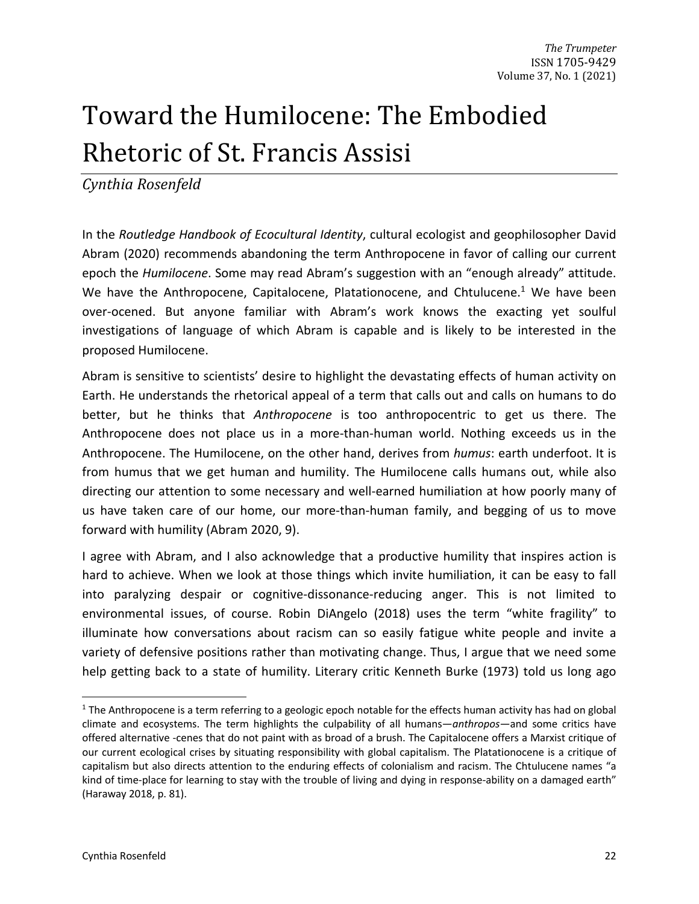# Toward the Humilocene: The Embodied Rhetoric of St. Francis Assisi

*Cynthia Rosenfeld*

In the *Routledge Handbook of Ecocultural Identity*, cultural ecologist and geophilosopher David Abram (2020) recommends abandoning the term Anthropocene in favor of calling our current epoch the *Humilocene*. Some may read Abram's suggestion with an "enough already" attitude. We have the Anthropocene, Capitalocene, Platationocene, and Chtulucene.<sup>1</sup> We have been over-ocened. But anyone familiar with Abram's work knows the exacting yet soulful investigations of language of which Abram is capable and is likely to be interested in the proposed Humilocene.

Abram is sensitive to scientists' desire to highlight the devastating effects of human activity on Earth. He understands the rhetorical appeal of a term that calls out and calls on humans to do better, but he thinks that *Anthropocene* is too anthropocentric to get us there. The Anthropocene does not place us in a more-than-human world. Nothing exceeds us in the Anthropocene. The Humilocene, on the other hand, derives from *humus*: earth underfoot. It is from humus that we get human and humility. The Humilocene calls humans out, while also directing our attention to some necessary and well-earned humiliation at how poorly many of us have taken care of our home, our more-than-human family, and begging of us to move forward with humility (Abram 2020, 9).

I agree with Abram, and I also acknowledge that a productive humility that inspires action is hard to achieve. When we look at those things which invite humiliation, it can be easy to fall into paralyzing despair or cognitive-dissonance-reducing anger. This is not limited to environmental issues, of course. Robin DiAngelo (2018) uses the term "white fragility" to illuminate how conversations about racism can so easily fatigue white people and invite a variety of defensive positions rather than motivating change. Thus, I argue that we need some help getting back to a state of humility. Literary critic Kenneth Burke (1973) told us long ago

 $1$  The Anthropocene is a term referring to a geologic epoch notable for the effects human activity has had on global climate and ecosystems. The term highlights the culpability of all humans—*anthropos—*and some critics have offered alternative -cenes that do not paint with as broad of a brush. The Capitalocene offers a Marxist critique of our current ecological crises by situating responsibility with global capitalism. The Platationocene is a critique of capitalism but also directs attention to the enduring effects of colonialism and racism. The Chtulucene names "a kind of time-place for learning to stay with the trouble of living and dying in response-ability on a damaged earth" (Haraway 2018, p. 81).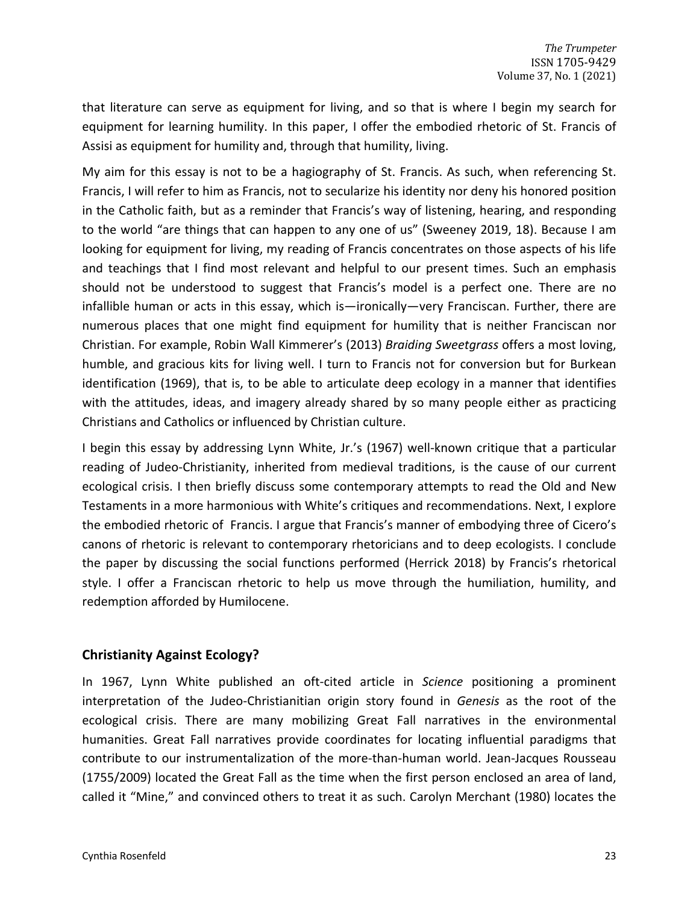that literature can serve as equipment for living, and so that is where I begin my search for equipment for learning humility. In this paper, I offer the embodied rhetoric of St. Francis of Assisi as equipment for humility and, through that humility, living.

My aim for this essay is not to be a hagiography of St. Francis. As such, when referencing St. Francis, I will refer to him as Francis, not to secularize his identity nor deny his honored position in the Catholic faith, but as a reminder that Francis's way of listening, hearing, and responding to the world "are things that can happen to any one of us" (Sweeney 2019, 18). Because I am looking for equipment for living, my reading of Francis concentrates on those aspects of his life and teachings that I find most relevant and helpful to our present times. Such an emphasis should not be understood to suggest that Francis's model is a perfect one. There are no infallible human or acts in this essay, which is—ironically—very Franciscan. Further, there are numerous places that one might find equipment for humility that is neither Franciscan nor Christian. For example, Robin Wall Kimmerer's (2013) *Braiding Sweetgrass* offers a most loving, humble, and gracious kits for living well. I turn to Francis not for conversion but for Burkean identification (1969), that is, to be able to articulate deep ecology in a manner that identifies with the attitudes, ideas, and imagery already shared by so many people either as practicing Christians and Catholics or influenced by Christian culture.

I begin this essay by addressing Lynn White, Jr.'s (1967) well-known critique that a particular reading of Judeo-Christianity, inherited from medieval traditions, is the cause of our current ecological crisis. I then briefly discuss some contemporary attempts to read the Old and New Testaments in a more harmonious with White's critiques and recommendations. Next, I explore the embodied rhetoric of Francis. I argue that Francis's manner of embodying three of Cicero's canons of rhetoric is relevant to contemporary rhetoricians and to deep ecologists. I conclude the paper by discussing the social functions performed (Herrick 2018) by Francis's rhetorical style. I offer a Franciscan rhetoric to help us move through the humiliation, humility, and redemption afforded by Humilocene.

# **Christianity Against Ecology?**

In 1967, Lynn White published an oft-cited article in *Science* positioning a prominent interpretation of the Judeo-Christianitian origin story found in *Genesis* as the root of the ecological crisis. There are many mobilizing Great Fall narratives in the environmental humanities. Great Fall narratives provide coordinates for locating influential paradigms that contribute to our instrumentalization of the more-than-human world. Jean-Jacques Rousseau (1755/2009) located the Great Fall as the time when the first person enclosed an area of land, called it "Mine," and convinced others to treat it as such. Carolyn Merchant (1980) locates the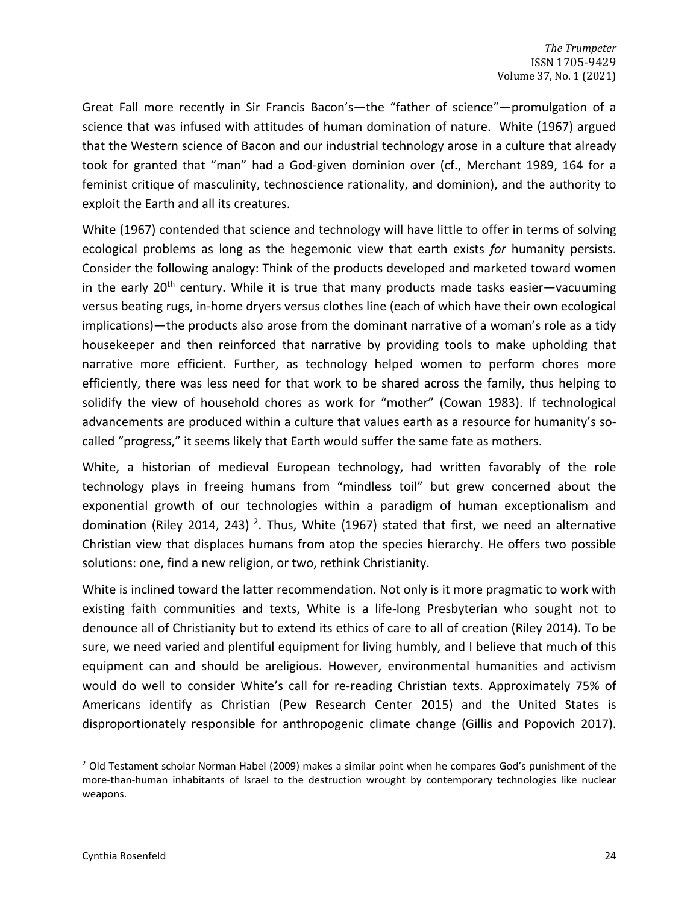Great Fall more recently in Sir Francis Bacon's—the "father of science"—promulgation of a science that was infused with attitudes of human domination of nature. White (1967) argued that the Western science of Bacon and our industrial technology arose in a culture that already took for granted that "man" had a God-given dominion over (cf., Merchant 1989, 164 for a feminist critique of masculinity, technoscience rationality, and dominion), and the authority to exploit the Earth and all its creatures.

White (1967) contended that science and technology will have little to offer in terms of solving ecological problems as long as the hegemonic view that earth exists *for* humanity persists. Consider the following analogy: Think of the products developed and marketed toward women in the early 20<sup>th</sup> century. While it is true that many products made tasks easier—vacuuming versus beating rugs, in-home dryers versus clothes line (each of which have their own ecological implications)—the products also arose from the dominant narrative of a woman's role as a tidy housekeeper and then reinforced that narrative by providing tools to make upholding that narrative more efficient. Further, as technology helped women to perform chores more efficiently, there was less need for that work to be shared across the family, thus helping to solidify the view of household chores as work for "mother" (Cowan 1983). If technological advancements are produced within a culture that values earth as a resource for humanity's socalled "progress," it seems likely that Earth would suffer the same fate as mothers.

White, a historian of medieval European technology, had written favorably of the role technology plays in freeing humans from "mindless toil" but grew concerned about the exponential growth of our technologies within a paradigm of human exceptionalism and domination (Riley 2014, 243)<sup>2</sup>. Thus, White (1967) stated that first, we need an alternative Christian view that displaces humans from atop the species hierarchy. He offers two possible solutions: one, find a new religion, or two, rethink Christianity.

White is inclined toward the latter recommendation. Not only is it more pragmatic to work with existing faith communities and texts, White is a life-long Presbyterian who sought not to denounce all of Christianity but to extend its ethics of care to all of creation (Riley 2014). To be sure, we need varied and plentiful equipment for living humbly, and I believe that much of this equipment can and should be areligious. However, environmental humanities and activism would do well to consider White's call for re-reading Christian texts. Approximately 75% of Americans identify as Christian (Pew Research Center 2015) and the United States is disproportionately responsible for anthropogenic climate change (Gillis and Popovich 2017).

<sup>&</sup>lt;sup>2</sup> Old Testament scholar Norman Habel (2009) makes a similar point when he compares God's punishment of the more-than-human inhabitants of Israel to the destruction wrought by contemporary technologies like nuclear weapons.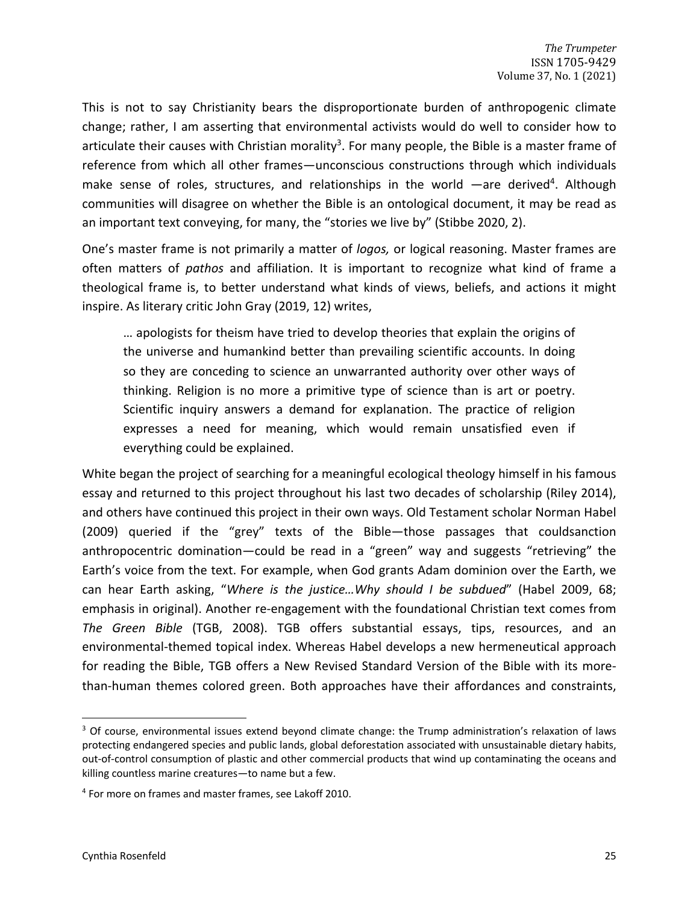This is not to say Christianity bears the disproportionate burden of anthropogenic climate change; rather, I am asserting that environmental activists would do well to consider how to articulate their causes with Christian morality<sup>3</sup>. For many people, the Bible is a master frame of reference from which all other frames—unconscious constructions through which individuals make sense of roles, structures, and relationships in the world —are derived<sup>4</sup>. Although communities will disagree on whether the Bible is an ontological document, it may be read as an important text conveying, for many, the "stories we live by" (Stibbe 2020, 2).

One's master frame is not primarily a matter of *logos,* or logical reasoning. Master frames are often matters of *pathos* and affiliation. It is important to recognize what kind of frame a theological frame is, to better understand what kinds of views, beliefs, and actions it might inspire. As literary critic John Gray (2019, 12) writes,

… apologists for theism have tried to develop theories that explain the origins of the universe and humankind better than prevailing scientific accounts. In doing so they are conceding to science an unwarranted authority over other ways of thinking. Religion is no more a primitive type of science than is art or poetry. Scientific inquiry answers a demand for explanation. The practice of religion expresses a need for meaning, which would remain unsatisfied even if everything could be explained.

White began the project of searching for a meaningful ecological theology himself in his famous essay and returned to this project throughout his last two decades of scholarship (Riley 2014), and others have continued this project in their own ways. Old Testament scholar Norman Habel (2009) queried if the "grey" texts of the Bible—those passages that couldsanction anthropocentric domination—could be read in a "green" way and suggests "retrieving" the Earth's voice from the text. For example, when God grants Adam dominion over the Earth, we can hear Earth asking, "*Where is the justice…Why should I be subdued*" (Habel 2009, 68; emphasis in original). Another re-engagement with the foundational Christian text comes from *The Green Bible* (TGB, 2008). TGB offers substantial essays, tips, resources, and an environmental-themed topical index. Whereas Habel develops a new hermeneutical approach for reading the Bible, TGB offers a New Revised Standard Version of the Bible with its morethan-human themes colored green. Both approaches have their affordances and constraints,

<sup>&</sup>lt;sup>3</sup> Of course, environmental issues extend beyond climate change: the Trump administration's relaxation of laws protecting endangered species and public lands, global deforestation associated with unsustainable dietary habits, out-of-control consumption of plastic and other commercial products that wind up contaminating the oceans and killing countless marine creatures—to name but a few.

<sup>4</sup> For more on frames and master frames, see Lakoff 2010.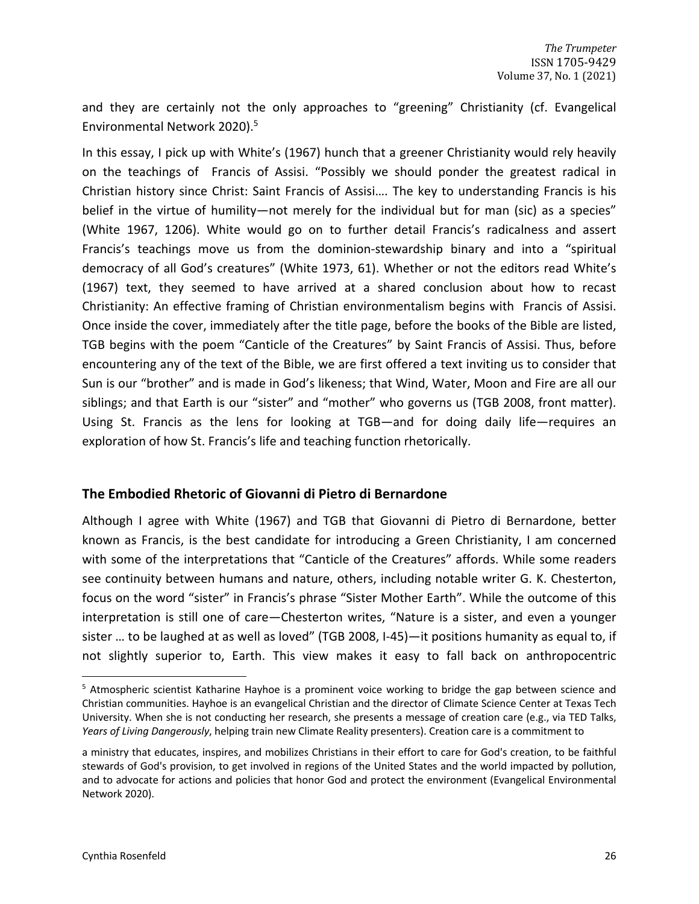and they are certainly not the only approaches to "greening" Christianity (cf. Evangelical Environmental Network 2020).5

In this essay, I pick up with White's (1967) hunch that a greener Christianity would rely heavily on the teachings of Francis of Assisi. "Possibly we should ponder the greatest radical in Christian history since Christ: Saint Francis of Assisi…. The key to understanding Francis is his belief in the virtue of humility—not merely for the individual but for man (sic) as a species" (White 1967, 1206). White would go on to further detail Francis's radicalness and assert Francis's teachings move us from the dominion-stewardship binary and into a "spiritual democracy of all God's creatures" (White 1973, 61). Whether or not the editors read White's (1967) text, they seemed to have arrived at a shared conclusion about how to recast Christianity: An effective framing of Christian environmentalism begins with Francis of Assisi. Once inside the cover, immediately after the title page, before the books of the Bible are listed, TGB begins with the poem "Canticle of the Creatures" by Saint Francis of Assisi. Thus, before encountering any of the text of the Bible, we are first offered a text inviting us to consider that Sun is our "brother" and is made in God's likeness; that Wind, Water, Moon and Fire are all our siblings; and that Earth is our "sister" and "mother" who governs us (TGB 2008, front matter). Using St. Francis as the lens for looking at TGB—and for doing daily life—requires an exploration of how St. Francis's life and teaching function rhetorically.

# **The Embodied Rhetoric of Giovanni di Pietro di Bernardone**

Although I agree with White (1967) and TGB that Giovanni di Pietro di Bernardone, better known as Francis, is the best candidate for introducing a Green Christianity, I am concerned with some of the interpretations that "Canticle of the Creatures" affords. While some readers see continuity between humans and nature, others, including notable writer G. K. Chesterton, focus on the word "sister" in Francis's phrase "Sister Mother Earth". While the outcome of this interpretation is still one of care—Chesterton writes, "Nature is a sister, and even a younger sister … to be laughed at as well as loved" (TGB 2008, I-45)—it positions humanity as equal to, if not slightly superior to, Earth. This view makes it easy to fall back on anthropocentric

<sup>&</sup>lt;sup>5</sup> Atmospheric scientist Katharine Hayhoe is a prominent voice working to bridge the gap between science and Christian communities. Hayhoe is an evangelical Christian and the director of Climate Science Center at Texas Tech University. When she is not conducting her research, she presents a message of creation care (e.g., via TED Talks, *Years of Living Dangerously*, helping train new Climate Reality presenters). Creation care is a commitment to

a ministry that educates, inspires, and mobilizes Christians in their effort to care for God's creation, to be faithful stewards of God's provision, to get involved in regions of the United States and the world impacted by pollution, and to advocate for actions and policies that honor God and protect the environment (Evangelical Environmental Network 2020).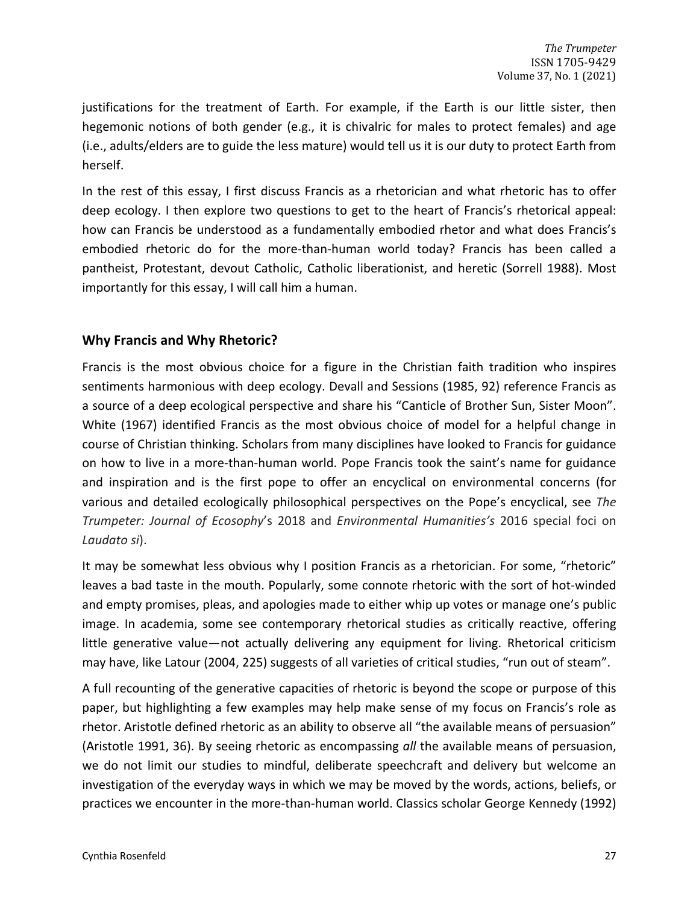justifications for the treatment of Earth. For example, if the Earth is our little sister, then hegemonic notions of both gender (e.g., it is chivalric for males to protect females) and age (i.e., adults/elders are to guide the less mature) would tell us it is our duty to protect Earth from herself.

In the rest of this essay, I first discuss Francis as a rhetorician and what rhetoric has to offer deep ecology. I then explore two questions to get to the heart of Francis's rhetorical appeal: how can Francis be understood as a fundamentally embodied rhetor and what does Francis's embodied rhetoric do for the more-than-human world today? Francis has been called a pantheist, Protestant, devout Catholic, Catholic liberationist, and heretic (Sorrell 1988). Most importantly for this essay, I will call him a human.

## **Why Francis and Why Rhetoric?**

Francis is the most obvious choice for a figure in the Christian faith tradition who inspires sentiments harmonious with deep ecology. Devall and Sessions (1985, 92) reference Francis as a source of a deep ecological perspective and share his "Canticle of Brother Sun, Sister Moon". White (1967) identified Francis as the most obvious choice of model for a helpful change in course of Christian thinking. Scholars from many disciplines have looked to Francis for guidance on how to live in a more-than-human world. Pope Francis took the saint's name for guidance and inspiration and is the first pope to offer an encyclical on environmental concerns (for various and detailed ecologically philosophical perspectives on the Pope's encyclical, see *The Trumpeter: Journal of Ecosophy*'s 2018 and *Environmental Humanities's* 2016 special foci on *Laudato si*).

It may be somewhat less obvious why I position Francis as a rhetorician. For some, "rhetoric" leaves a bad taste in the mouth. Popularly, some connote rhetoric with the sort of hot-winded and empty promises, pleas, and apologies made to either whip up votes or manage one's public image. In academia, some see contemporary rhetorical studies as critically reactive, offering little generative value—not actually delivering any equipment for living. Rhetorical criticism may have, like Latour (2004, 225) suggests of all varieties of critical studies, "run out of steam".

A full recounting of the generative capacities of rhetoric is beyond the scope or purpose of this paper, but highlighting a few examples may help make sense of my focus on Francis's role as rhetor. Aristotle defined rhetoric as an ability to observe all "the available means of persuasion" (Aristotle 1991, 36). By seeing rhetoric as encompassing *all* the available means of persuasion, we do not limit our studies to mindful, deliberate speechcraft and delivery but welcome an investigation of the everyday ways in which we may be moved by the words, actions, beliefs, or practices we encounter in the more-than-human world. Classics scholar George Kennedy (1992)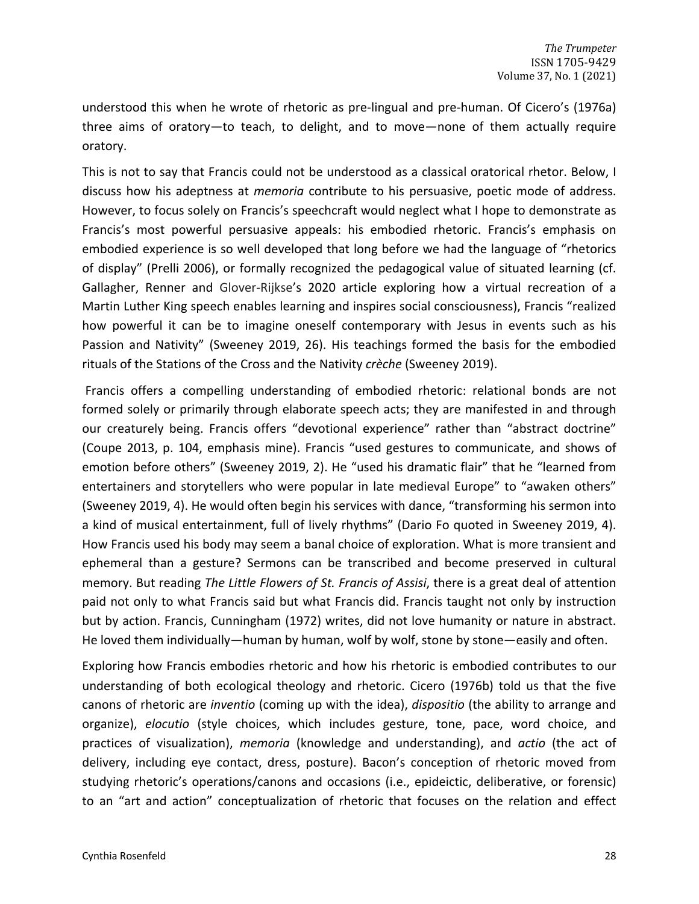understood this when he wrote of rhetoric as pre-lingual and pre-human. Of Cicero's (1976a) three aims of oratory—to teach, to delight, and to move—none of them actually require oratory.

This is not to say that Francis could not be understood as a classical oratorical rhetor. Below, I discuss how his adeptness at *memoria* contribute to his persuasive, poetic mode of address. However, to focus solely on Francis's speechcraft would neglect what I hope to demonstrate as Francis's most powerful persuasive appeals: his embodied rhetoric. Francis's emphasis on embodied experience is so well developed that long before we had the language of "rhetorics of display" (Prelli 2006), or formally recognized the pedagogical value of situated learning (cf. Gallagher, Renner and Glover-Rijkse's 2020 article exploring how a virtual recreation of a Martin Luther King speech enables learning and inspires social consciousness), Francis "realized how powerful it can be to imagine oneself contemporary with Jesus in events such as his Passion and Nativity" (Sweeney 2019, 26). His teachings formed the basis for the embodied rituals of the Stations of the Cross and the Nativity *crèche* (Sweeney 2019).

Francis offers a compelling understanding of embodied rhetoric: relational bonds are not formed solely or primarily through elaborate speech acts; they are manifested in and through our creaturely being. Francis offers "devotional experience" rather than "abstract doctrine" (Coupe 2013, p. 104, emphasis mine). Francis "used gestures to communicate, and shows of emotion before others" (Sweeney 2019, 2). He "used his dramatic flair" that he "learned from entertainers and storytellers who were popular in late medieval Europe" to "awaken others" (Sweeney 2019, 4). He would often begin his services with dance, "transforming his sermon into a kind of musical entertainment, full of lively rhythms" (Dario Fo quoted in Sweeney 2019, 4). How Francis used his body may seem a banal choice of exploration. What is more transient and ephemeral than a gesture? Sermons can be transcribed and become preserved in cultural memory. But reading *The Little Flowers of St. Francis of Assisi*, there is a great deal of attention paid not only to what Francis said but what Francis did. Francis taught not only by instruction but by action. Francis, Cunningham (1972) writes, did not love humanity or nature in abstract. He loved them individually—human by human, wolf by wolf, stone by stone—easily and often.

Exploring how Francis embodies rhetoric and how his rhetoric is embodied contributes to our understanding of both ecological theology and rhetoric. Cicero (1976b) told us that the five canons of rhetoric are *inventio* (coming up with the idea), *dispositio* (the ability to arrange and organize), *elocutio* (style choices, which includes gesture, tone, pace, word choice, and practices of visualization), *memoria* (knowledge and understanding), and *actio* (the act of delivery, including eye contact, dress, posture). Bacon's conception of rhetoric moved from studying rhetoric's operations/canons and occasions (i.e., epideictic, deliberative, or forensic) to an "art and action" conceptualization of rhetoric that focuses on the relation and effect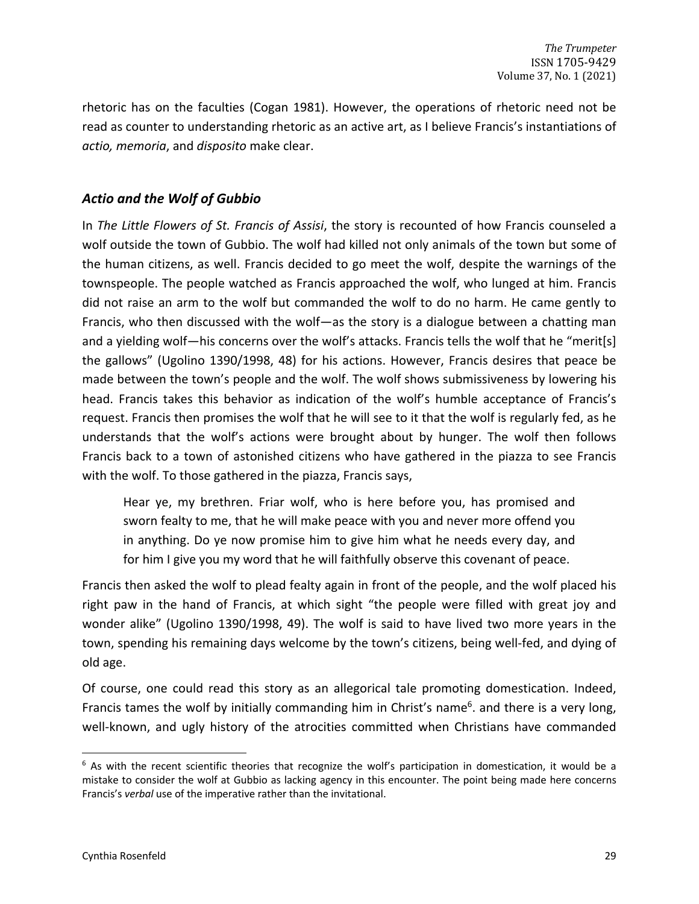rhetoric has on the faculties (Cogan 1981). However, the operations of rhetoric need not be read as counter to understanding rhetoric as an active art, as I believe Francis's instantiations of *actio, memoria*, and *disposito* make clear.

# *Actio and the Wolf of Gubbio*

In *The Little Flowers of St. Francis of Assisi*, the story is recounted of how Francis counseled a wolf outside the town of Gubbio. The wolf had killed not only animals of the town but some of the human citizens, as well. Francis decided to go meet the wolf, despite the warnings of the townspeople. The people watched as Francis approached the wolf, who lunged at him. Francis did not raise an arm to the wolf but commanded the wolf to do no harm. He came gently to Francis, who then discussed with the wolf—as the story is a dialogue between a chatting man and a yielding wolf—his concerns over the wolf's attacks. Francis tells the wolf that he "merit[s] the gallows" (Ugolino 1390/1998, 48) for his actions. However, Francis desires that peace be made between the town's people and the wolf. The wolf shows submissiveness by lowering his head. Francis takes this behavior as indication of the wolf's humble acceptance of Francis's request. Francis then promises the wolf that he will see to it that the wolf is regularly fed, as he understands that the wolf's actions were brought about by hunger. The wolf then follows Francis back to a town of astonished citizens who have gathered in the piazza to see Francis with the wolf. To those gathered in the piazza, Francis says,

Hear ye, my brethren. Friar wolf, who is here before you, has promised and sworn fealty to me, that he will make peace with you and never more offend you in anything. Do ye now promise him to give him what he needs every day, and for him I give you my word that he will faithfully observe this covenant of peace.

Francis then asked the wolf to plead fealty again in front of the people, and the wolf placed his right paw in the hand of Francis, at which sight "the people were filled with great joy and wonder alike" (Ugolino 1390/1998, 49). The wolf is said to have lived two more years in the town, spending his remaining days welcome by the town's citizens, being well-fed, and dying of old age.

Of course, one could read this story as an allegorical tale promoting domestication. Indeed, Francis tames the wolf by initially commanding him in Christ's name<sup>6</sup>. and there is a very long, well-known, and ugly history of the atrocities committed when Christians have commanded

 $6$  As with the recent scientific theories that recognize the wolf's participation in domestication, it would be a mistake to consider the wolf at Gubbio as lacking agency in this encounter. The point being made here concerns Francis's *verbal* use of the imperative rather than the invitational.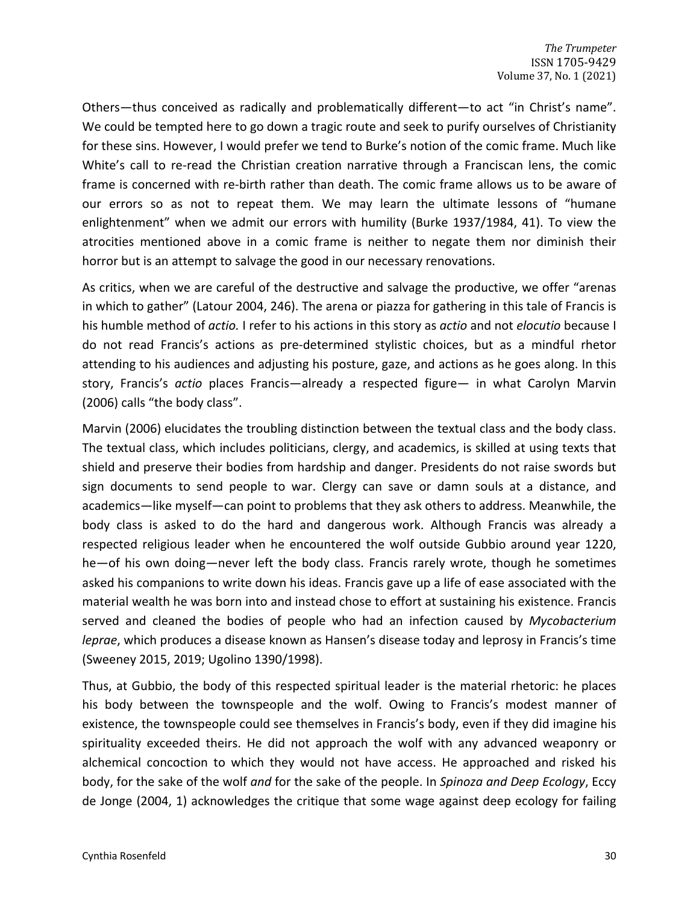Others—thus conceived as radically and problematically different—to act "in Christ's name". We could be tempted here to go down a tragic route and seek to purify ourselves of Christianity for these sins. However, I would prefer we tend to Burke's notion of the comic frame. Much like White's call to re-read the Christian creation narrative through a Franciscan lens, the comic frame is concerned with re-birth rather than death. The comic frame allows us to be aware of our errors so as not to repeat them. We may learn the ultimate lessons of "humane enlightenment" when we admit our errors with humility (Burke 1937/1984, 41). To view the atrocities mentioned above in a comic frame is neither to negate them nor diminish their horror but is an attempt to salvage the good in our necessary renovations.

As critics, when we are careful of the destructive and salvage the productive, we offer "arenas in which to gather" (Latour 2004, 246). The arena or piazza for gathering in this tale of Francis is his humble method of *actio.* I refer to his actions in this story as *actio* and not *elocutio* because I do not read Francis's actions as pre-determined stylistic choices, but as a mindful rhetor attending to his audiences and adjusting his posture, gaze, and actions as he goes along. In this story, Francis's *actio* places Francis—already a respected figure— in what Carolyn Marvin (2006) calls "the body class".

Marvin (2006) elucidates the troubling distinction between the textual class and the body class. The textual class, which includes politicians, clergy, and academics, is skilled at using texts that shield and preserve their bodies from hardship and danger. Presidents do not raise swords but sign documents to send people to war. Clergy can save or damn souls at a distance, and academics—like myself—can point to problems that they ask others to address. Meanwhile, the body class is asked to do the hard and dangerous work. Although Francis was already a respected religious leader when he encountered the wolf outside Gubbio around year 1220, he—of his own doing—never left the body class. Francis rarely wrote, though he sometimes asked his companions to write down his ideas. Francis gave up a life of ease associated with the material wealth he was born into and instead chose to effort at sustaining his existence. Francis served and cleaned the bodies of people who had an infection caused by *Mycobacterium leprae*, which produces a disease known as Hansen's disease today and leprosy in Francis's time (Sweeney 2015, 2019; Ugolino 1390/1998).

Thus, at Gubbio, the body of this respected spiritual leader is the material rhetoric: he places his body between the townspeople and the wolf. Owing to Francis's modest manner of existence, the townspeople could see themselves in Francis's body, even if they did imagine his spirituality exceeded theirs. He did not approach the wolf with any advanced weaponry or alchemical concoction to which they would not have access. He approached and risked his body, for the sake of the wolf *and* for the sake of the people. In *Spinoza and Deep Ecology*, Eccy de Jonge (2004, 1) acknowledges the critique that some wage against deep ecology for failing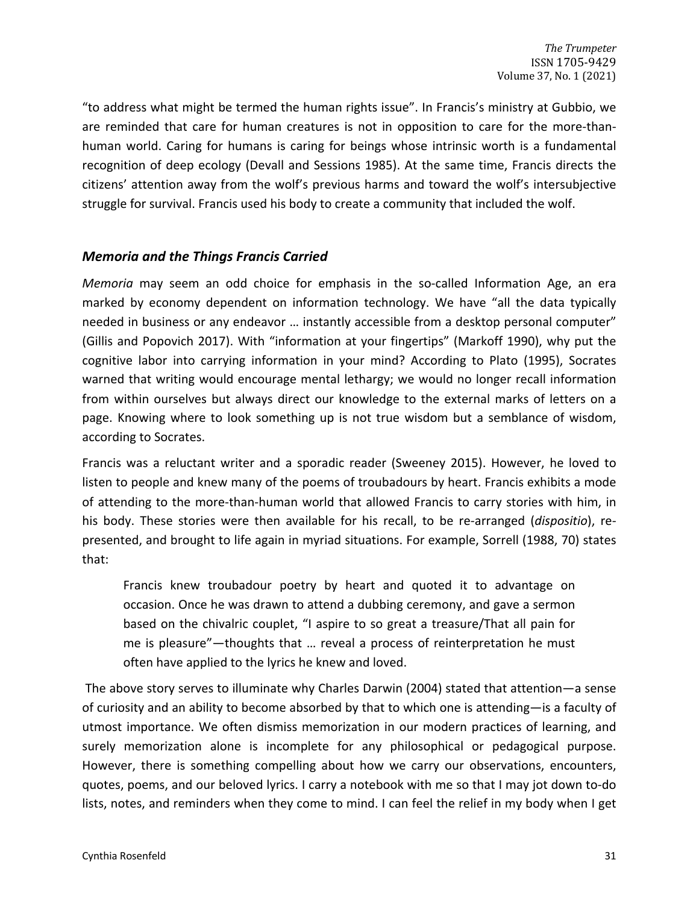"to address what might be termed the human rights issue". In Francis's ministry at Gubbio, we are reminded that care for human creatures is not in opposition to care for the more-thanhuman world. Caring for humans is caring for beings whose intrinsic worth is a fundamental recognition of deep ecology (Devall and Sessions 1985). At the same time, Francis directs the citizens' attention away from the wolf's previous harms and toward the wolf's intersubjective struggle for survival. Francis used his body to create a community that included the wolf.

## *Memoria and the Things Francis Carried*

*Memoria* may seem an odd choice for emphasis in the so-called Information Age, an era marked by economy dependent on information technology. We have "all the data typically needed in business or any endeavor … instantly accessible from a desktop personal computer" (Gillis and Popovich 2017). With "information at your fingertips" (Markoff 1990), why put the cognitive labor into carrying information in your mind? According to Plato (1995), Socrates warned that writing would encourage mental lethargy; we would no longer recall information from within ourselves but always direct our knowledge to the external marks of letters on a page. Knowing where to look something up is not true wisdom but a semblance of wisdom, according to Socrates.

Francis was a reluctant writer and a sporadic reader (Sweeney 2015). However, he loved to listen to people and knew many of the poems of troubadours by heart. Francis exhibits a mode of attending to the more-than-human world that allowed Francis to carry stories with him, in his body. These stories were then available for his recall, to be re-arranged (*dispositio*), represented, and brought to life again in myriad situations. For example, Sorrell (1988, 70) states that:

Francis knew troubadour poetry by heart and quoted it to advantage on occasion. Once he was drawn to attend a dubbing ceremony, and gave a sermon based on the chivalric couplet, "I aspire to so great a treasure/That all pain for me is pleasure"—thoughts that … reveal a process of reinterpretation he must often have applied to the lyrics he knew and loved.

The above story serves to illuminate why Charles Darwin (2004) stated that attention—a sense of curiosity and an ability to become absorbed by that to which one is attending—is a faculty of utmost importance. We often dismiss memorization in our modern practices of learning, and surely memorization alone is incomplete for any philosophical or pedagogical purpose. However, there is something compelling about how we carry our observations, encounters, quotes, poems, and our beloved lyrics. I carry a notebook with me so that I may jot down to-do lists, notes, and reminders when they come to mind. I can feel the relief in my body when I get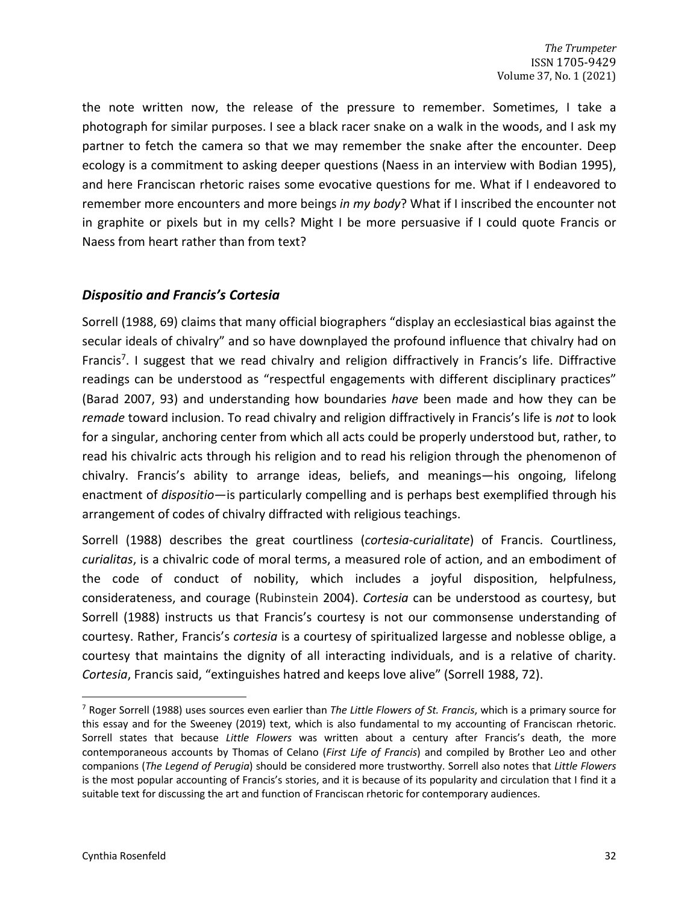the note written now, the release of the pressure to remember. Sometimes, I take a photograph for similar purposes. I see a black racer snake on a walk in the woods, and I ask my partner to fetch the camera so that we may remember the snake after the encounter. Deep ecology is a commitment to asking deeper questions (Naess in an interview with Bodian 1995), and here Franciscan rhetoric raises some evocative questions for me. What if I endeavored to remember more encounters and more beings *in my body*? What if I inscribed the encounter not in graphite or pixels but in my cells? Might I be more persuasive if I could quote Francis or Naess from heart rather than from text?

# *Dispositio and Francis's Cortesia*

Sorrell (1988, 69) claims that many official biographers "display an ecclesiastical bias against the secular ideals of chivalry" and so have downplayed the profound influence that chivalry had on Francis<sup>7</sup>. I suggest that we read chivalry and religion diffractively in Francis's life. Diffractive readings can be understood as "respectful engagements with different disciplinary practices" (Barad 2007, 93) and understanding how boundaries *have* been made and how they can be *remade* toward inclusion. To read chivalry and religion diffractively in Francis's life is *not* to look for a singular, anchoring center from which all acts could be properly understood but, rather, to read his chivalric acts through his religion and to read his religion through the phenomenon of chivalry. Francis's ability to arrange ideas, beliefs, and meanings—his ongoing, lifelong enactment of *dispositio*—is particularly compelling and is perhaps best exemplified through his arrangement of codes of chivalry diffracted with religious teachings.

Sorrell (1988) describes the great courtliness (*cortesia-curialitate*) of Francis. Courtliness, *curialitas*, is a chivalric code of moral terms, a measured role of action, and an embodiment of the code of conduct of nobility, which includes a joyful disposition, helpfulness, considerateness, and courage (Rubinstein 2004). *Cortesia* can be understood as courtesy, but Sorrell (1988) instructs us that Francis's courtesy is not our commonsense understanding of courtesy. Rather, Francis's *cortesia* is a courtesy of spiritualized largesse and noblesse oblige, a courtesy that maintains the dignity of all interacting individuals, and is a relative of charity. *Cortesia*, Francis said, "extinguishes hatred and keeps love alive" (Sorrell 1988, 72).

<sup>7</sup> Roger Sorrell (1988) uses sources even earlier than *The Little Flowers of St. Francis*, which is a primary source for this essay and for the Sweeney (2019) text, which is also fundamental to my accounting of Franciscan rhetoric. Sorrell states that because *Little Flowers* was written about a century after Francis's death, the more contemporaneous accounts by Thomas of Celano (*First Life of Francis*) and compiled by Brother Leo and other companions (*The Legend of Perugia*) should be considered more trustworthy. Sorrell also notes that *Little Flowers*  is the most popular accounting of Francis's stories, and it is because of its popularity and circulation that I find it a suitable text for discussing the art and function of Franciscan rhetoric for contemporary audiences.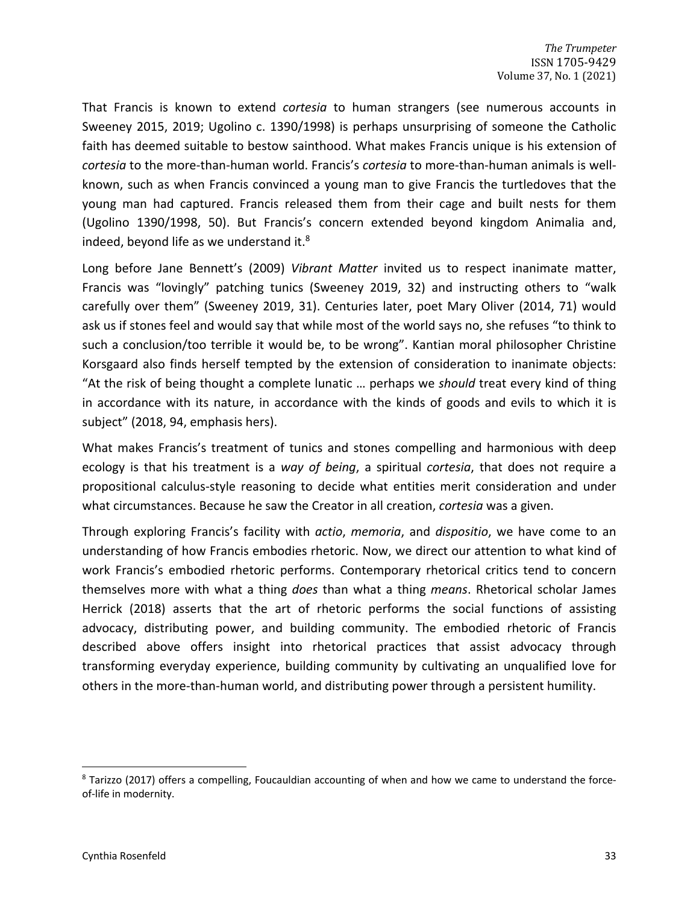That Francis is known to extend *cortesia* to human strangers (see numerous accounts in Sweeney 2015, 2019; Ugolino c. 1390/1998) is perhaps unsurprising of someone the Catholic faith has deemed suitable to bestow sainthood. What makes Francis unique is his extension of *cortesia* to the more-than-human world. Francis's *cortesia* to more-than-human animals is wellknown, such as when Francis convinced a young man to give Francis the turtledoves that the young man had captured. Francis released them from their cage and built nests for them (Ugolino 1390/1998, 50). But Francis's concern extended beyond kingdom Animalia and, indeed, beyond life as we understand it. $8$ 

Long before Jane Bennett's (2009) *Vibrant Matter* invited us to respect inanimate matter, Francis was "lovingly" patching tunics (Sweeney 2019, 32) and instructing others to "walk carefully over them" (Sweeney 2019, 31). Centuries later, poet Mary Oliver (2014, 71) would ask us if stones feel and would say that while most of the world says no, she refuses "to think to such a conclusion/too terrible it would be, to be wrong". Kantian moral philosopher Christine Korsgaard also finds herself tempted by the extension of consideration to inanimate objects: "At the risk of being thought a complete lunatic … perhaps we *should* treat every kind of thing in accordance with its nature, in accordance with the kinds of goods and evils to which it is subject" (2018, 94, emphasis hers).

What makes Francis's treatment of tunics and stones compelling and harmonious with deep ecology is that his treatment is a *way of being*, a spiritual *cortesia*, that does not require a propositional calculus-style reasoning to decide what entities merit consideration and under what circumstances. Because he saw the Creator in all creation, *cortesia* was a given.

Through exploring Francis's facility with *actio*, *memoria*, and *dispositio*, we have come to an understanding of how Francis embodies rhetoric. Now, we direct our attention to what kind of work Francis's embodied rhetoric performs. Contemporary rhetorical critics tend to concern themselves more with what a thing *does* than what a thing *means*. Rhetorical scholar James Herrick (2018) asserts that the art of rhetoric performs the social functions of assisting advocacy, distributing power, and building community. The embodied rhetoric of Francis described above offers insight into rhetorical practices that assist advocacy through transforming everyday experience, building community by cultivating an unqualified love for others in the more-than-human world, and distributing power through a persistent humility.

<sup>8</sup> Tarizzo (2017) offers a compelling, Foucauldian accounting of when and how we came to understand the forceof-life in modernity.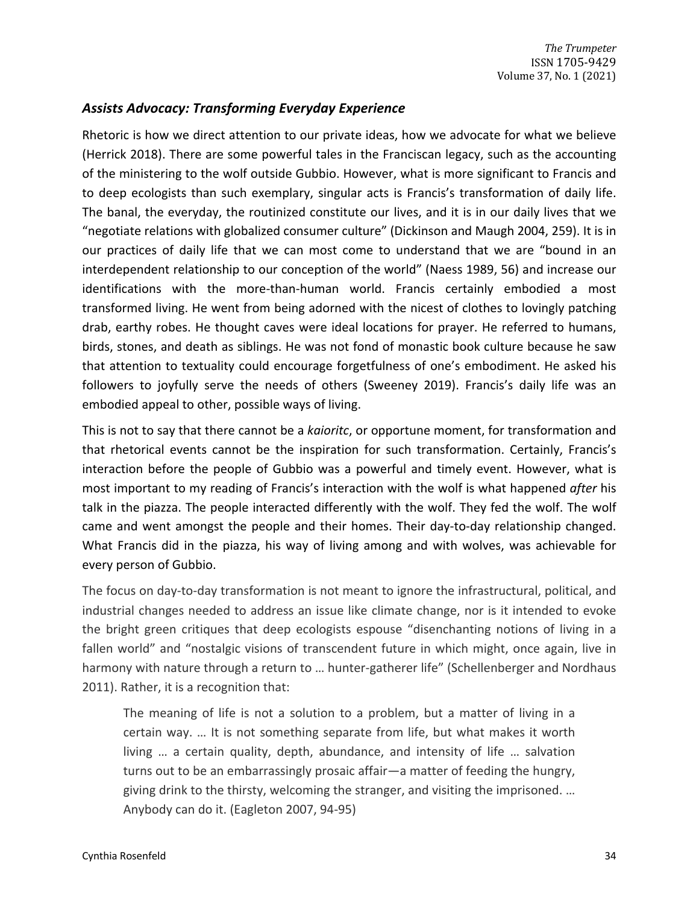# *Assists Advocacy: Transforming Everyday Experience*

Rhetoric is how we direct attention to our private ideas, how we advocate for what we believe (Herrick 2018). There are some powerful tales in the Franciscan legacy, such as the accounting of the ministering to the wolf outside Gubbio. However, what is more significant to Francis and to deep ecologists than such exemplary, singular acts is Francis's transformation of daily life. The banal, the everyday, the routinized constitute our lives, and it is in our daily lives that we "negotiate relations with globalized consumer culture" (Dickinson and Maugh 2004, 259). It is in our practices of daily life that we can most come to understand that we are "bound in an interdependent relationship to our conception of the world" (Naess 1989, 56) and increase our identifications with the more-than-human world. Francis certainly embodied a most transformed living. He went from being adorned with the nicest of clothes to lovingly patching drab, earthy robes. He thought caves were ideal locations for prayer. He referred to humans, birds, stones, and death as siblings. He was not fond of monastic book culture because he saw that attention to textuality could encourage forgetfulness of one's embodiment. He asked his followers to joyfully serve the needs of others (Sweeney 2019). Francis's daily life was an embodied appeal to other, possible ways of living.

This is not to say that there cannot be a *kaioritc*, or opportune moment, for transformation and that rhetorical events cannot be the inspiration for such transformation. Certainly, Francis's interaction before the people of Gubbio was a powerful and timely event. However, what is most important to my reading of Francis's interaction with the wolf is what happened *after* his talk in the piazza. The people interacted differently with the wolf. They fed the wolf. The wolf came and went amongst the people and their homes. Their day-to-day relationship changed. What Francis did in the piazza, his way of living among and with wolves, was achievable for every person of Gubbio.

The focus on day-to-day transformation is not meant to ignore the infrastructural, political, and industrial changes needed to address an issue like climate change, nor is it intended to evoke the bright green critiques that deep ecologists espouse "disenchanting notions of living in a fallen world" and "nostalgic visions of transcendent future in which might, once again, live in harmony with nature through a return to … hunter-gatherer life" (Schellenberger and Nordhaus 2011). Rather, it is a recognition that:

The meaning of life is not a solution to a problem, but a matter of living in a certain way. … It is not something separate from life, but what makes it worth living … a certain quality, depth, abundance, and intensity of life … salvation turns out to be an embarrassingly prosaic affair—a matter of feeding the hungry, giving drink to the thirsty, welcoming the stranger, and visiting the imprisoned. … Anybody can do it. (Eagleton 2007, 94-95)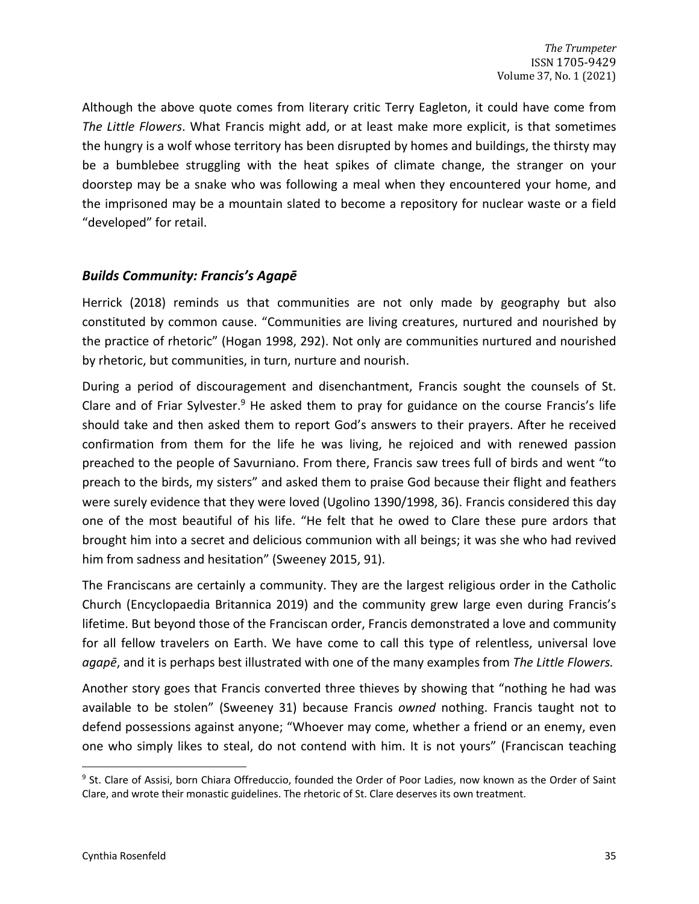Although the above quote comes from literary critic Terry Eagleton, it could have come from *The Little Flowers*. What Francis might add, or at least make more explicit, is that sometimes the hungry is a wolf whose territory has been disrupted by homes and buildings, the thirsty may be a bumblebee struggling with the heat spikes of climate change, the stranger on your doorstep may be a snake who was following a meal when they encountered your home, and the imprisoned may be a mountain slated to become a repository for nuclear waste or a field "developed" for retail.

## *Builds Community: Francis's Agapē*

Herrick (2018) reminds us that communities are not only made by geography but also constituted by common cause. "Communities are living creatures, nurtured and nourished by the practice of rhetoric" (Hogan 1998, 292). Not only are communities nurtured and nourished by rhetoric, but communities, in turn, nurture and nourish.

During a period of discouragement and disenchantment, Francis sought the counsels of St. Clare and of Friar Sylvester.<sup>9</sup> He asked them to pray for guidance on the course Francis's life should take and then asked them to report God's answers to their prayers. After he received confirmation from them for the life he was living, he rejoiced and with renewed passion preached to the people of Savurniano. From there, Francis saw trees full of birds and went "to preach to the birds, my sisters" and asked them to praise God because their flight and feathers were surely evidence that they were loved (Ugolino 1390/1998, 36). Francis considered this day one of the most beautiful of his life. "He felt that he owed to Clare these pure ardors that brought him into a secret and delicious communion with all beings; it was she who had revived him from sadness and hesitation" (Sweeney 2015, 91).

The Franciscans are certainly a community. They are the largest religious order in the Catholic Church (Encyclopaedia Britannica 2019) and the community grew large even during Francis's lifetime. But beyond those of the Franciscan order, Francis demonstrated a love and community for all fellow travelers on Earth. We have come to call this type of relentless, universal love *agapē*, and it is perhaps best illustrated with one of the many examples from *The Little Flowers.* 

Another story goes that Francis converted three thieves by showing that "nothing he had was available to be stolen" (Sweeney 31) because Francis *owned* nothing. Francis taught not to defend possessions against anyone; "Whoever may come, whether a friend or an enemy, even one who simply likes to steal, do not contend with him. It is not yours" (Franciscan teaching

<sup>&</sup>lt;sup>9</sup> St. Clare of Assisi, born Chiara Offreduccio, founded the Order of Poor Ladies, now known as the Order of Saint Clare, and wrote their monastic guidelines. The rhetoric of St. Clare deserves its own treatment.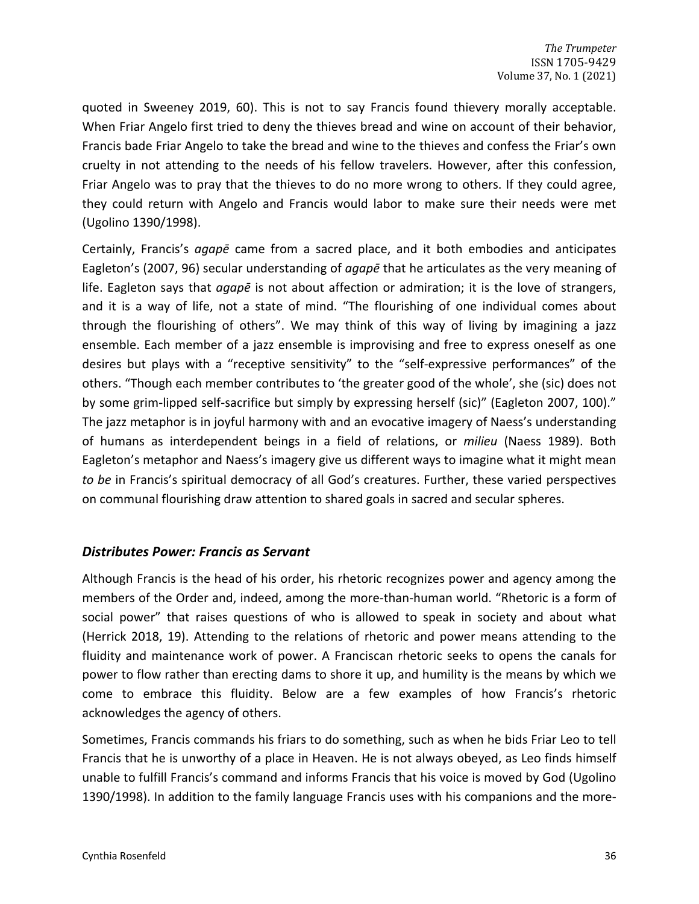quoted in Sweeney 2019, 60). This is not to say Francis found thievery morally acceptable. When Friar Angelo first tried to deny the thieves bread and wine on account of their behavior, Francis bade Friar Angelo to take the bread and wine to the thieves and confess the Friar's own cruelty in not attending to the needs of his fellow travelers. However, after this confession, Friar Angelo was to pray that the thieves to do no more wrong to others. If they could agree, they could return with Angelo and Francis would labor to make sure their needs were met (Ugolino 1390/1998).

Certainly, Francis's *agapē* came from a sacred place, and it both embodies and anticipates Eagleton's (2007, 96) secular understanding of *agapē* that he articulates as the very meaning of life. Eagleton says that *agapē* is not about affection or admiration; it is the love of strangers, and it is a way of life, not a state of mind. "The flourishing of one individual comes about through the flourishing of others". We may think of this way of living by imagining a jazz ensemble. Each member of a jazz ensemble is improvising and free to express oneself as one desires but plays with a "receptive sensitivity" to the "self-expressive performances" of the others. "Though each member contributes to 'the greater good of the whole', she (sic) does not by some grim-lipped self-sacrifice but simply by expressing herself (sic)" (Eagleton 2007, 100)." The jazz metaphor is in joyful harmony with and an evocative imagery of Naess's understanding of humans as interdependent beings in a field of relations, or *milieu* (Naess 1989). Both Eagleton's metaphor and Naess's imagery give us different ways to imagine what it might mean *to be* in Francis's spiritual democracy of all God's creatures. Further, these varied perspectives on communal flourishing draw attention to shared goals in sacred and secular spheres.

#### *Distributes Power: Francis as Servant*

Although Francis is the head of his order, his rhetoric recognizes power and agency among the members of the Order and, indeed, among the more-than-human world. "Rhetoric is a form of social power" that raises questions of who is allowed to speak in society and about what (Herrick 2018, 19). Attending to the relations of rhetoric and power means attending to the fluidity and maintenance work of power. A Franciscan rhetoric seeks to opens the canals for power to flow rather than erecting dams to shore it up, and humility is the means by which we come to embrace this fluidity. Below are a few examples of how Francis's rhetoric acknowledges the agency of others.

Sometimes, Francis commands his friars to do something, such as when he bids Friar Leo to tell Francis that he is unworthy of a place in Heaven. He is not always obeyed, as Leo finds himself unable to fulfill Francis's command and informs Francis that his voice is moved by God (Ugolino 1390/1998). In addition to the family language Francis uses with his companions and the more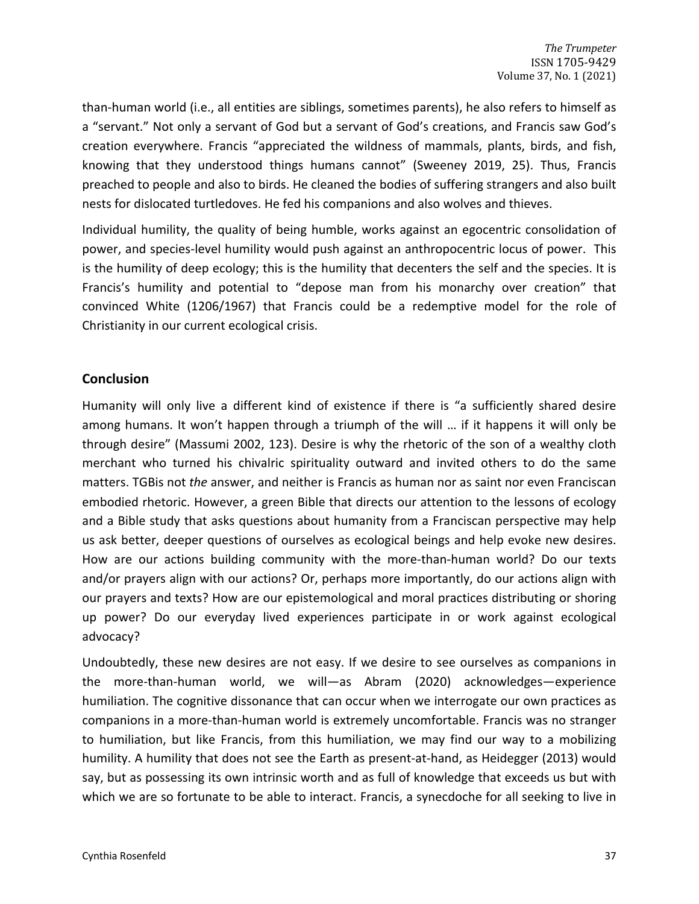than-human world (i.e., all entities are siblings, sometimes parents), he also refers to himself as a "servant." Not only a servant of God but a servant of God's creations, and Francis saw God's creation everywhere. Francis "appreciated the wildness of mammals, plants, birds, and fish, knowing that they understood things humans cannot" (Sweeney 2019, 25). Thus, Francis preached to people and also to birds. He cleaned the bodies of suffering strangers and also built nests for dislocated turtledoves. He fed his companions and also wolves and thieves.

Individual humility, the quality of being humble, works against an egocentric consolidation of power, and species-level humility would push against an anthropocentric locus of power. This is the humility of deep ecology; this is the humility that decenters the self and the species. It is Francis's humility and potential to "depose man from his monarchy over creation" that convinced White (1206/1967) that Francis could be a redemptive model for the role of Christianity in our current ecological crisis.

## **Conclusion**

Humanity will only live a different kind of existence if there is "a sufficiently shared desire among humans. It won't happen through a triumph of the will … if it happens it will only be through desire" (Massumi 2002, 123). Desire is why the rhetoric of the son of a wealthy cloth merchant who turned his chivalric spirituality outward and invited others to do the same matters. TGBis not *the* answer, and neither is Francis as human nor as saint nor even Franciscan embodied rhetoric. However, a green Bible that directs our attention to the lessons of ecology and a Bible study that asks questions about humanity from a Franciscan perspective may help us ask better, deeper questions of ourselves as ecological beings and help evoke new desires. How are our actions building community with the more-than-human world? Do our texts and/or prayers align with our actions? Or, perhaps more importantly, do our actions align with our prayers and texts? How are our epistemological and moral practices distributing or shoring up power? Do our everyday lived experiences participate in or work against ecological advocacy?

Undoubtedly, these new desires are not easy. If we desire to see ourselves as companions in the more-than-human world, we will—as Abram (2020) acknowledges—experience humiliation. The cognitive dissonance that can occur when we interrogate our own practices as companions in a more-than-human world is extremely uncomfortable. Francis was no stranger to humiliation, but like Francis, from this humiliation, we may find our way to a mobilizing humility. A humility that does not see the Earth as present-at-hand, as Heidegger (2013) would say, but as possessing its own intrinsic worth and as full of knowledge that exceeds us but with which we are so fortunate to be able to interact. Francis, a synecdoche for all seeking to live in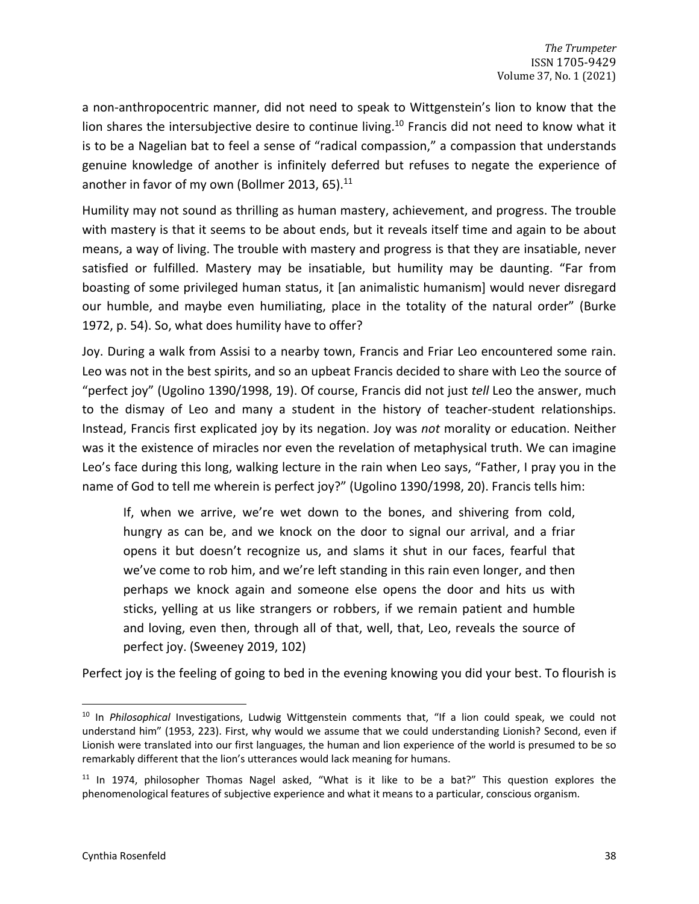a non-anthropocentric manner, did not need to speak to Wittgenstein's lion to know that the lion shares the intersubjective desire to continue living.<sup>10</sup> Francis did not need to know what it is to be a Nagelian bat to feel a sense of "radical compassion," a compassion that understands genuine knowledge of another is infinitely deferred but refuses to negate the experience of another in favor of my own (Bollmer 2013, 65). $11$ 

Humility may not sound as thrilling as human mastery, achievement, and progress. The trouble with mastery is that it seems to be about ends, but it reveals itself time and again to be about means, a way of living. The trouble with mastery and progress is that they are insatiable, never satisfied or fulfilled. Mastery may be insatiable, but humility may be daunting. "Far from boasting of some privileged human status, it [an animalistic humanism] would never disregard our humble, and maybe even humiliating, place in the totality of the natural order" (Burke 1972, p. 54). So, what does humility have to offer?

Joy. During a walk from Assisi to a nearby town, Francis and Friar Leo encountered some rain. Leo was not in the best spirits, and so an upbeat Francis decided to share with Leo the source of "perfect joy" (Ugolino 1390/1998, 19). Of course, Francis did not just *tell* Leo the answer, much to the dismay of Leo and many a student in the history of teacher-student relationships. Instead, Francis first explicated joy by its negation. Joy was *not* morality or education. Neither was it the existence of miracles nor even the revelation of metaphysical truth. We can imagine Leo's face during this long, walking lecture in the rain when Leo says, "Father, I pray you in the name of God to tell me wherein is perfect joy?" (Ugolino 1390/1998, 20). Francis tells him:

If, when we arrive, we're wet down to the bones, and shivering from cold, hungry as can be, and we knock on the door to signal our arrival, and a friar opens it but doesn't recognize us, and slams it shut in our faces, fearful that we've come to rob him, and we're left standing in this rain even longer, and then perhaps we knock again and someone else opens the door and hits us with sticks, yelling at us like strangers or robbers, if we remain patient and humble and loving, even then, through all of that, well, that, Leo, reveals the source of perfect joy. (Sweeney 2019, 102)

Perfect joy is the feeling of going to bed in the evening knowing you did your best. To flourish is

<sup>10</sup> In *Philosophical* Investigations, Ludwig Wittgenstein comments that, "If a lion could speak, we could not understand him" (1953, 223). First, why would we assume that we could understanding Lionish? Second, even if Lionish were translated into our first languages, the human and lion experience of the world is presumed to be so remarkably different that the lion's utterances would lack meaning for humans.

 $11$  In 1974, philosopher Thomas Nagel asked, "What is it like to be a bat?" This question explores the phenomenological features of subjective experience and what it means to a particular, conscious organism.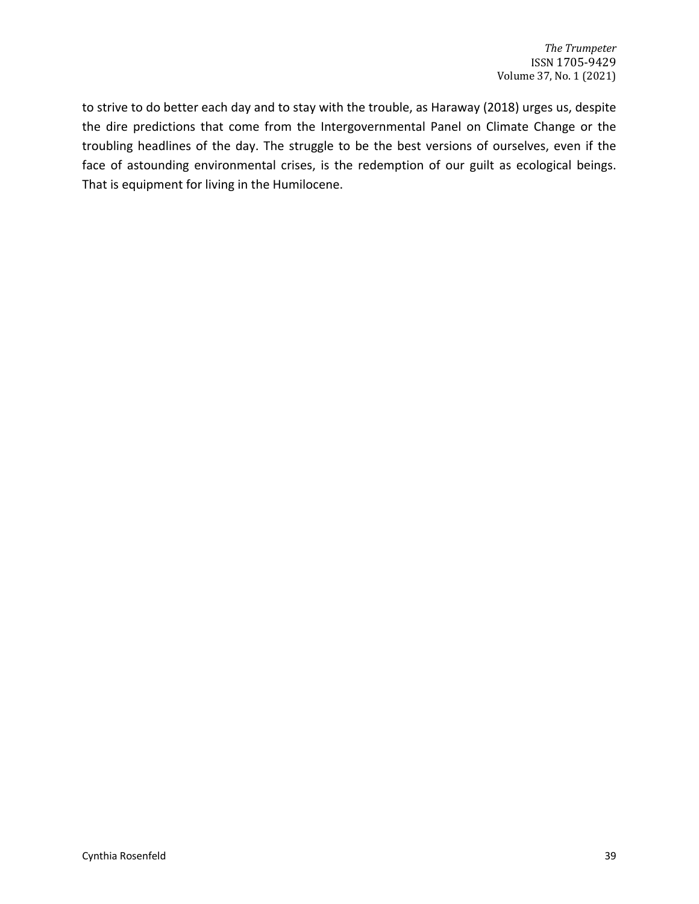to strive to do better each day and to stay with the trouble, as Haraway (2018) urges us, despite the dire predictions that come from the Intergovernmental Panel on Climate Change or the troubling headlines of the day. The struggle to be the best versions of ourselves, even if the face of astounding environmental crises, is the redemption of our guilt as ecological beings. That is equipment for living in the Humilocene.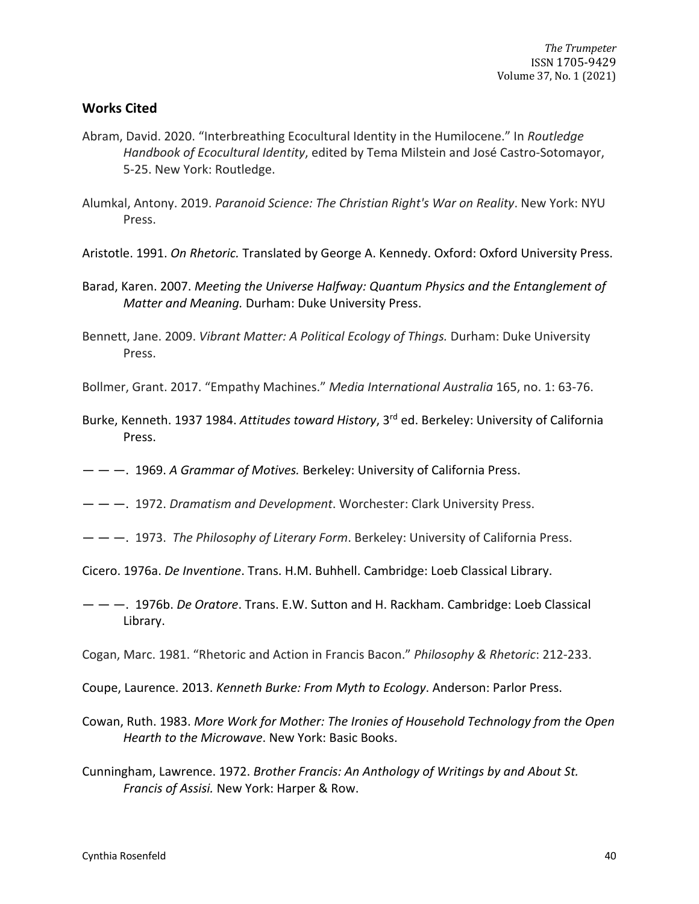## **Works Cited**

- Abram, David. 2020. "Interbreathing Ecocultural Identity in the Humilocene." In *Routledge Handbook of Ecocultural Identity*, edited by Tema Milstein and José Castro-Sotomayor, 5-25. New York: Routledge.
- Alumkal, Antony. 2019. *Paranoid Science: The Christian Right's War on Reality*. New York: NYU Press.
- Aristotle. 1991. *On Rhetoric.* Translated by George A. Kennedy. Oxford: Oxford University Press.
- Barad, Karen. 2007. *Meeting the Universe Halfway: Quantum Physics and the Entanglement of Matter and Meaning.* Durham: Duke University Press.
- Bennett, Jane. 2009. *Vibrant Matter: A Political Ecology of Things.* Durham: Duke University Press.
- Bollmer, Grant. 2017. "Empathy Machines." *Media International Australia* 165, no. 1: 63-76.
- Burke, Kenneth. 1937 1984. *Attitudes toward History*, 3rd ed. Berkeley: University of California Press.
- — —. 1969. *A Grammar of Motives.* Berkeley: University of California Press.
- — —. 1972. *Dramatism and Development*. Worchester: Clark University Press.
- — —. 1973. *The Philosophy of Literary Form*. Berkeley: University of California Press.
- Cicero. 1976a. *De Inventione*. Trans. H.M. Buhhell. Cambridge: Loeb Classical Library.
- — —. 1976b. *De Oratore*. Trans. E.W. Sutton and H. Rackham. Cambridge: Loeb Classical Library.
- Cogan, Marc. 1981. "Rhetoric and Action in Francis Bacon." *Philosophy & Rhetoric*: 212-233.
- Coupe, Laurence. 2013. *Kenneth Burke: From Myth to Ecology*. Anderson: Parlor Press.
- Cowan, Ruth. 1983. *More Work for Mother: The Ironies of Household Technology from the Open Hearth to the Microwave*. New York: Basic Books.
- Cunningham, Lawrence. 1972. *Brother Francis: An Anthology of Writings by and About St. Francis of Assisi.* New York: Harper & Row.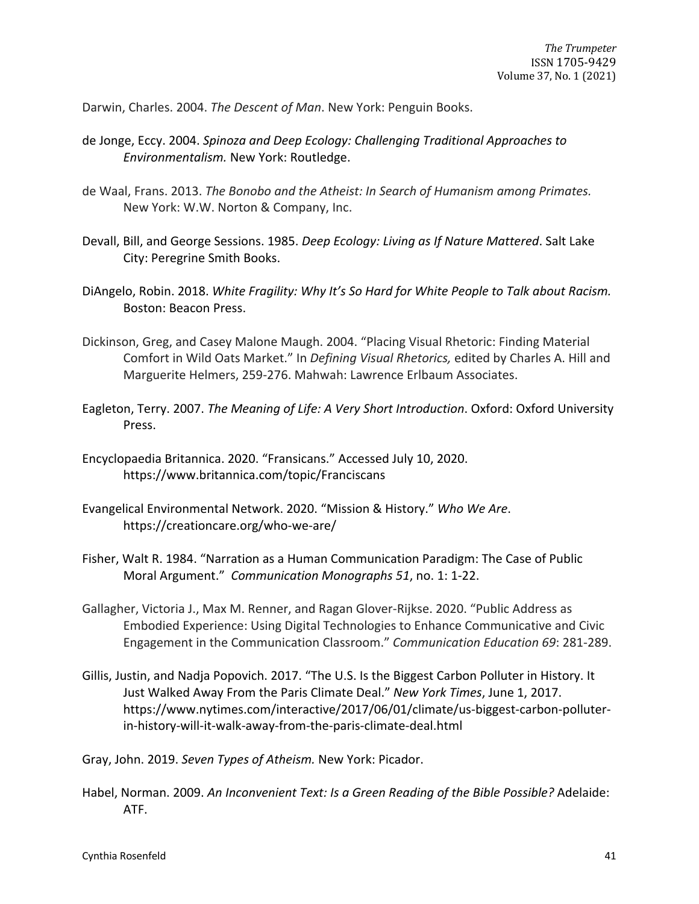Darwin, Charles. 2004. *The Descent of Man*. New York: Penguin Books.

- de Jonge, Eccy. 2004. *Spinoza and Deep Ecology: Challenging Traditional Approaches to Environmentalism.* New York: Routledge.
- de Waal, Frans. 2013. *The Bonobo and the Atheist: In Search of Humanism among Primates.* New York: W.W. Norton & Company, Inc.
- Devall, Bill, and George Sessions. 1985. *Deep Ecology: Living as If Nature Mattered*. Salt Lake City: Peregrine Smith Books.
- DiAngelo, Robin. 2018. *White Fragility: Why It's So Hard for White People to Talk about Racism.*  Boston: Beacon Press.
- Dickinson, Greg, and Casey Malone Maugh. 2004. "Placing Visual Rhetoric: Finding Material Comfort in Wild Oats Market." In *Defining Visual Rhetorics,* edited by Charles A. Hill and Marguerite Helmers, 259-276. Mahwah: Lawrence Erlbaum Associates.
- Eagleton, Terry. 2007. *The Meaning of Life: A Very Short Introduction*. Oxford: Oxford University Press.
- Encyclopaedia Britannica. 2020. "Fransicans." Accessed July 10, 2020. https://www.britannica.com/topic/Franciscans
- Evangelical Environmental Network. 2020. "Mission & History." *Who We Are*. https://creationcare.org/who-we-are/
- Fisher, Walt R. 1984. "Narration as a Human Communication Paradigm: The Case of Public Moral Argument." *Communication Monographs 51*, no. 1: 1-22.
- Gallagher, Victoria J., Max M. Renner, and Ragan Glover-Rijkse. 2020. "Public Address as Embodied Experience: Using Digital Technologies to Enhance Communicative and Civic Engagement in the Communication Classroom." *Communication Education 69*: 281-289.
- Gillis, Justin, and Nadja Popovich. 2017. "The U.S. Is the Biggest Carbon Polluter in History. It Just Walked Away From the Paris Climate Deal." *New York Times*, June 1, 2017. https://www.nytimes.com/interactive/2017/06/01/climate/us-biggest-carbon-polluterin-history-will-it-walk-away-from-the-paris-climate-deal.html

Gray, John. 2019. *Seven Types of Atheism.* New York: Picador.

Habel, Norman. 2009. *An Inconvenient Text: Is a Green Reading of the Bible Possible?* Adelaide: ATF.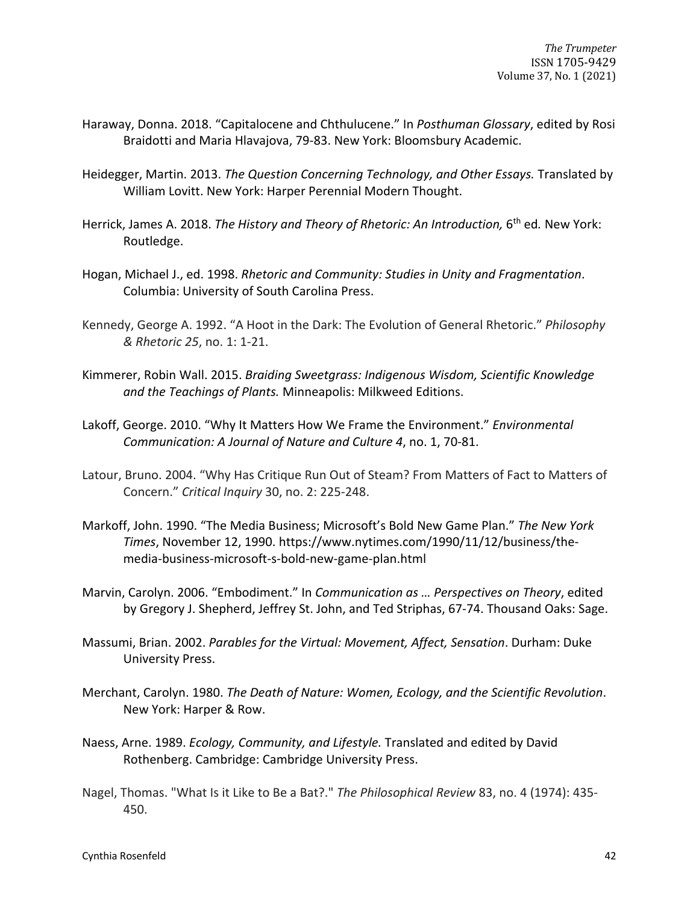- Haraway, Donna. 2018. "Capitalocene and Chthulucene." In *Posthuman Glossary*, edited by Rosi Braidotti and Maria Hlavajova, 79-83. New York: Bloomsbury Academic.
- Heidegger, Martin. 2013. *The Question Concerning Technology, and Other Essays.* Translated by William Lovitt. New York: Harper Perennial Modern Thought.
- Herrick, James A. 2018. *The History and Theory of Rhetoric: An Introduction, 6<sup>th</sup> ed. New York:* Routledge.
- Hogan, Michael J., ed. 1998. *Rhetoric and Community: Studies in Unity and Fragmentation*. Columbia: University of South Carolina Press.
- Kennedy, George A. 1992. "A Hoot in the Dark: The Evolution of General Rhetoric." *Philosophy & Rhetoric 25*, no. 1: 1-21.
- Kimmerer, Robin Wall. 2015. *Braiding Sweetgrass: Indigenous Wisdom, Scientific Knowledge and the Teachings of Plants.* Minneapolis: Milkweed Editions.
- Lakoff, George. 2010. "Why It Matters How We Frame the Environment." *Environmental Communication: A Journal of Nature and Culture 4*, no. 1, 70-81.
- Latour, Bruno. 2004. "Why Has Critique Run Out of Steam? From Matters of Fact to Matters of Concern." *Critical Inquiry* 30, no. 2: 225-248.
- Markoff, John. 1990. "The Media Business; Microsoft's Bold New Game Plan." *The New York Times*, November 12, 1990. https://www.nytimes.com/1990/11/12/business/themedia-business-microsoft-s-bold-new-game-plan.html
- Marvin, Carolyn. 2006. "Embodiment." In *Communication as … Perspectives on Theory*, edited by Gregory J. Shepherd, Jeffrey St. John, and Ted Striphas, 67-74. Thousand Oaks: Sage.
- Massumi, Brian. 2002. *Parables for the Virtual: Movement, Affect, Sensation*. Durham: Duke University Press.
- Merchant, Carolyn. 1980. *The Death of Nature: Women, Ecology, and the Scientific Revolution*. New York: Harper & Row.
- Naess, Arne. 1989. *Ecology, Community, and Lifestyle.* Translated and edited by David Rothenberg. Cambridge: Cambridge University Press.
- Nagel, Thomas. "What Is it Like to Be a Bat?." *The Philosophical Review* 83, no. 4 (1974): 435- 450.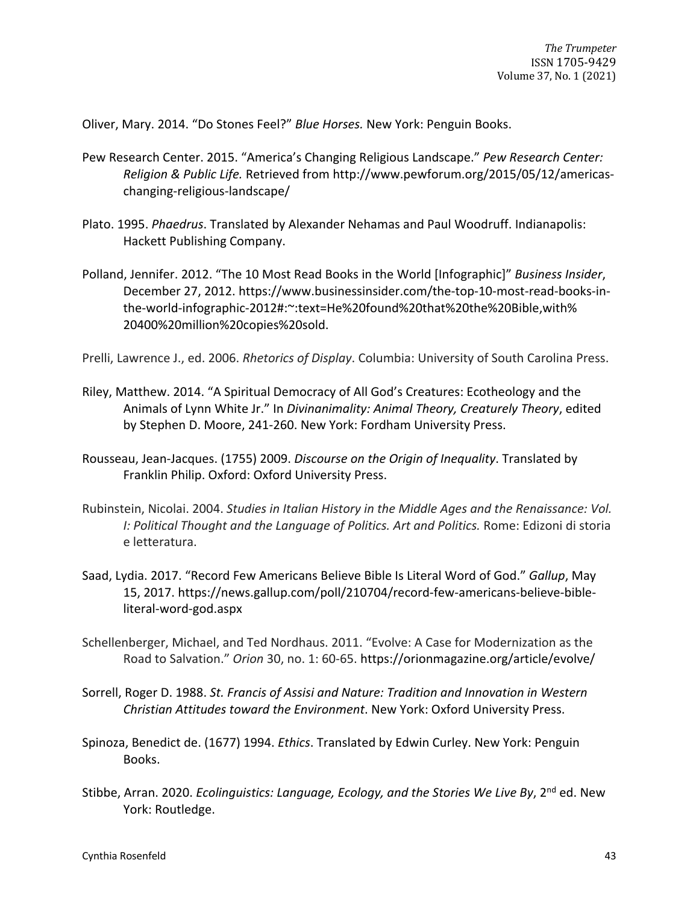Oliver, Mary. 2014. "Do Stones Feel?" *Blue Horses.* New York: Penguin Books.

- Pew Research Center. 2015. "America's Changing Religious Landscape." *Pew Research Center: Religion & Public Life.* Retrieved from http://www.pewforum.org/2015/05/12/americaschanging-religious-landscape/
- Plato. 1995. *Phaedrus*. Translated by Alexander Nehamas and Paul Woodruff. Indianapolis: Hackett Publishing Company.
- Polland, Jennifer. 2012. "The 10 Most Read Books in the World [Infographic]" *Business Insider*, December 27, 2012. https://www.businessinsider.com/the-top-10-most-read-books-inthe-world-infographic-2012#:~:text=He%20found%20that%20the%20Bible,with% 20400%20million%20copies%20sold.

Prelli, Lawrence J., ed. 2006. *Rhetorics of Display*. Columbia: University of South Carolina Press.

- Riley, Matthew. 2014. "A Spiritual Democracy of All God's Creatures: Ecotheology and the Animals of Lynn White Jr." In *Divinanimality: Animal Theory, Creaturely Theory*, edited by Stephen D. Moore, 241-260. New York: Fordham University Press.
- Rousseau, Jean-Jacques. (1755) 2009. *Discourse on the Origin of Inequality*. Translated by Franklin Philip. Oxford: Oxford University Press.
- Rubinstein, Nicolai. 2004. *Studies in Italian History in the Middle Ages and the Renaissance: Vol. I: Political Thought and the Language of Politics. Art and Politics.* Rome: Edizoni di storia e letteratura.
- Saad, Lydia. 2017. "Record Few Americans Believe Bible Is Literal Word of God." *Gallup*, May 15, 2017. https://news.gallup.com/poll/210704/record-few-americans-believe-bibleliteral-word-god.aspx
- Schellenberger, Michael, and Ted Nordhaus. 2011. "Evolve: A Case for Modernization as the Road to Salvation." *Orion* 30, no. 1: 60-65. https://orionmagazine.org/article/evolve/
- Sorrell, Roger D. 1988. *St. Francis of Assisi and Nature: Tradition and Innovation in Western Christian Attitudes toward the Environment*. New York: Oxford University Press.
- Spinoza, Benedict de. (1677) 1994. *Ethics*. Translated by Edwin Curley. New York: Penguin Books.
- Stibbe, Arran. 2020. *Ecolinguistics: Language, Ecology, and the Stories We Live By*, 2<sup>nd</sup> ed. New York: Routledge.